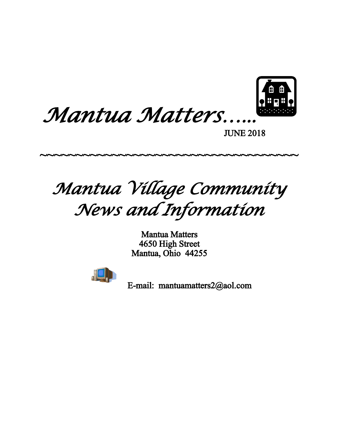



JUNE 2018

*Mantua Village Community News and Information*

~~~~~~~~~~~~~~~~~~~~~~~~~~~~~~~~~~~~~~

Mantua Matters 4650 High Street Mantua, Ohio 44255



E-mail: mantuamatters2@aol.com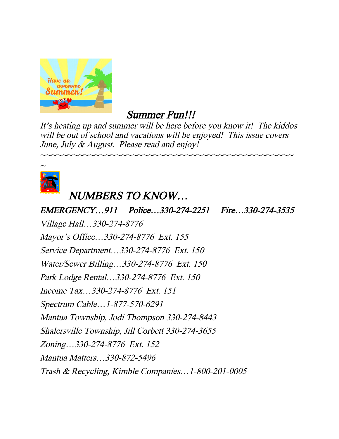

# Summer Fun!!!

It's heating up and summer will be here before you know it! The kiddos will be out of school and vacations will be enjoyed! This issue covers June, July & August. Please read and enjoy!

~~~~~~~~~~~~~~~~~~~~~~~~~~~~~~~~~~~~~~~~~~~~~~~



# NUMBERS TO KNOW…

EMERGENCY…911 Police…330-274-2251 Fire…330-274-3535 Village Hall…330-274-8776 Mayor's Office…330-274-8776 Ext. 155 Service Department…330-274-8776 Ext. 150 Water/Sewer Billing…330-274-8776 Ext. 150 Park Lodge Rental…330-274-8776 Ext. 150 Income Tax…330-274-8776 Ext. 151 Spectrum Cable…1-877-570-6291 Mantua Township, Jodi Thompson 330-274-8443 Shalersville Township, Jill Corbett 330-274-3655 Zoning…330-274-8776 Ext. 152 Mantua Matters…330-872-5496 Trash & Recycling, Kimble Companies…1-800-201-0005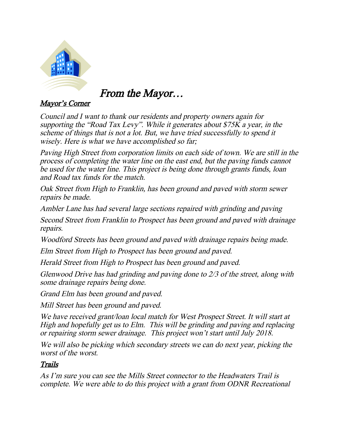

From the Mayor…

#### Mayor's Corner

Council and I want to thank our residents and property owners again for supporting the "Road Tax Levy". While it generates about \$75K a year, in the scheme of things that is not a lot. But, we have tried successfully to spend it wisely. Here is what we have accomplished so far;

Paving High Street from corporation limits on each side of town. We are still in the process of completing the water line on the east end, but the paving funds cannot be used for the water line. This project is being done through grants funds, loan and Road tax funds for the match.

Oak Street from High to Franklin, has been ground and paved with storm sewer repairs be made.

Ambler Lane has had several large sections repaired with grinding and paving

Second Street from Franklin to Prospect has been ground and paved with drainage repairs.

Woodford Streets has been ground and paved with drainage repairs being made.

Elm Street from High to Prospect has been ground and paved.

Herald Street from High to Prospect has been ground and paved.

Glenwood Drive has had grinding and paving done to 2/3 of the street, along with some drainage repairs being done.

Grand Elm has been ground and paved.

Mill Street has been ground and paved.

We have received grant/loan local match for West Prospect Street. It will start at High and hopefully get us to Elm. This will be grinding and paving and replacing or repairing storm sewer drainage. This project won't start until July 2018.

We will also be picking which secondary streets we can do next year, picking the worst of the worst.

#### Trails

As I'm sure you can see the Mills Street connector to the Headwaters Trail is complete. We were able to do this project with a grant from ODNR Recreational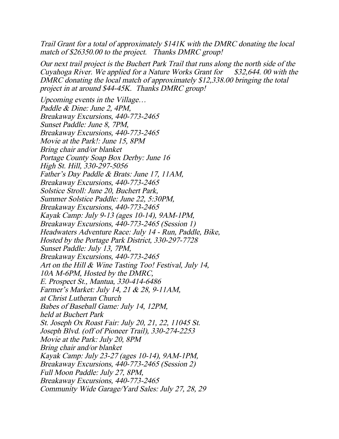Trail Grant for a total of approximately \$141K with the DMRC donating the local match of \$26350.00 to the project. Thanks DMRC group!

Our next trail project is the Buchert Park Trail that runs along the north side of the Cuyahoga River. We applied for a Nature Works Grant for  $$32,644.00$  with the DMRC donating the local match of approximately \$12,338.00 bringing the total project in at around \$44-45K. Thanks DMRC group!

Upcoming events in the Village… Paddle & Dine: June 2, 4PM, Breakaway Excursions, 440-773-2465 Sunset Paddle: June 8, 7PM, Breakaway Excursions, 440-773-2465 Movie at the Park!: June 15, 8PM Bring chair and/or blanket Portage County Soap Box Derby: June 16 High St. Hill, 330-297-5056 Father's Day Paddle & Brats: June 17, 11AM, Breakaway Excursions, 440-773-2465 Solstice Stroll: June 20, Buchert Park, Summer Solstice Paddle: June 22, 5:30PM, Breakaway Excursions, 440-773-2465 Kayak Camp: July 9-13 (ages 10-14), 9AM-1PM, Breakaway Excursions, 440-773-2465 (Session 1) Headwaters Adventure Race: July 14 - Run, Paddle, Bike, Hosted by the Portage Park District, 330-297-7728 Sunset Paddle: July 13, 7PM, Breakaway Excursions, 440-773-2465 Art on the Hill & Wine Tasting Too! Festival, July 14, 10A M-6PM, Hosted by the DMRC, E. Prospect St., Mantua, 330-414-6486 Farmer's Market: July 14, 21 & 28, 9-11AM, at Christ Lutheran Church Babes of Baseball Game: July 14, 12PM, held at Buchert Park St. Joseph Ox Roast Fair: July 20, 21, 22, 11045 St. Joseph Blvd. (off of Pioneer Trail), 330-274-2253 Movie at the Park: July 20, 8PM Bring chair and/or blanket Kayak Camp: July 23-27 (ages 10-14), 9AM-1PM, Breakaway Excursions, 440-773-2465 (Session 2) Full Moon Paddle: July 27, 8PM, Breakaway Excursions, 440-773-2465 Community Wide Garage/Yard Sales: July 27, 28, 29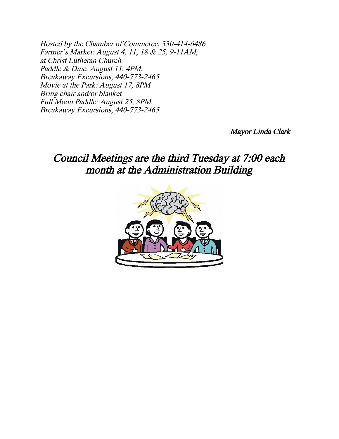Hosted by the Chamber of Commerce, 330-414-6486 Farmer's Market: August 4, 11, 18 & 25, 9-11AM, at Christ Lutheran Church Paddle & Dine, August 11, 4PM, Breakaway Excursions, 440-773-2465 Movie at the Park: August 17, 8PM Bring chair and/or blanket Full Moon Paddle: August 25, 8PM, Breakaway Excursions, 440-773-2465

Mayor Linda Clark

### Council Meetings are the third Tuesday at 7:00 each month at the Administration Building

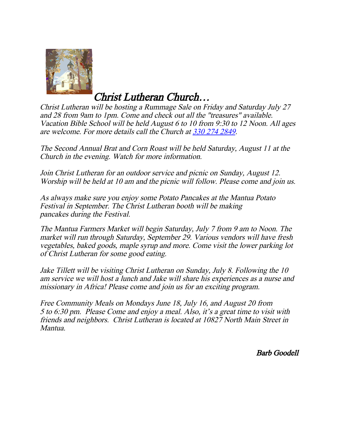

Christ Lutheran Church…

Christ Lutheran will be hosting a Rummage Sale on Friday and Saturday July 27 and 28 from 9am to 1pm. Come and check out all the "treasures" available. Vacation Bible School will be held August 6 to 10 from 9:30 to 12 Noon. All ages are welcome. For more details call the Church at [330 274 2849](about:blank).

The Second Annual Brat and Corn Roast will be held Saturday, August 11 at the Church in the evening. Watch for more information.

Join Christ Lutheran for an outdoor service and picnic on Sunday, August 12. Worship will be held at 10 am and the picnic will follow. Please come and join us.

As always make sure you enjoy some Potato Pancakes at the Mantua Potato Festival in September. The Christ Lutheran booth will be making pancakes during the Festival.

The Mantua Farmers Market will begin Saturday, July 7 from 9 am to Noon. The market will run through Saturday, September 29. Various vendors will have fresh vegetables, baked goods, maple syrup and more. Come visit the lower parking lot of Christ Lutheran for some good eating.

Jake Tillett will be visiting Christ Lutheran on Sunday, July 8. Following the 10 am service we will host a lunch and Jake will share his experiences as a nurse and missionary in Africa! Please come and join us for an exciting program.

Free Community Meals on Mondays June 18, July 16, and August 20 from 5 to 6:30 pm. Please Come and enjoy a meal. Also, it's a great time to visit with friends and neighbors. Christ Lutheran is located at 10827 North Main Street in Mantua.

Barb Goodell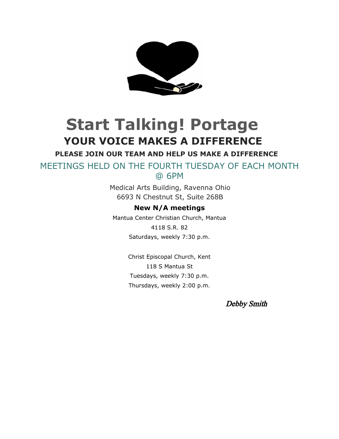

# **Start Talking! Portage YOUR VOICE MAKES A DIFFERENCE**

**PLEASE JOIN OUR TEAM AND HELP US MAKE A DIFFERENCE**

MEETINGS HELD ON THE FOURTH TUESDAY OF EACH MONTH @ 6PM

> Medical Arts Building, Ravenna Ohio 6693 N Chestnut St, Suite 268B

#### **New N/A meetings**

Mantua Center Christian Church, Mantua 4118 S.R. 82 Saturdays, weekly 7:30 p.m.

> Christ Episcopal Church, Kent 118 S Mantua St Tuesdays, weekly 7:30 p.m. Thursdays, weekly 2:00 p.m.

> > Debby Smith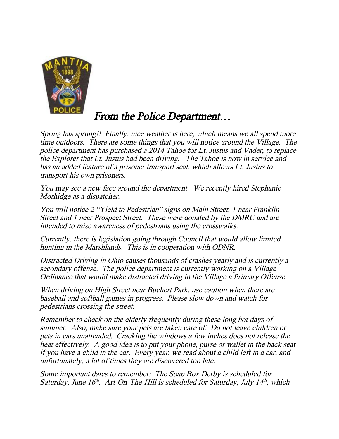

### From the Police Department…

Spring has sprung!! Finally, nice weather is here, which means we all spend more time outdoors. There are some things that you will notice around the Village. The police department has purchased a 2014 Tahoe for Lt. Justus and Vader, to replace the Explorer that Lt. Justus had been driving. The Tahoe is now in service and has an added feature of a prisoner transport seat, which allows Lt. Justus to transport his own prisoners.

You may see a new face around the department. We recently hired Stephanie Morhidge as a dispatcher.

You will notice 2 "Yield to Pedestrian" signs on Main Street, 1 near Franklin Street and 1 near Prospect Street. These were donated by the DMRC and are intended to raise awareness of pedestrians using the crosswalks.

Currently, there is legislation going through Council that would allow limited hunting in the Marshlands. This is in cooperation with ODNR.

Distracted Driving in Ohio causes thousands of crashes yearly and is currently a secondary offense. The police department is currently working on a Village Ordinance that would make distracted driving in the Village a Primary Offense.

When driving on High Street near Buchert Park, use caution when there are baseball and softball games in progress. Please slow down and watch for pedestrians crossing the street.

Remember to check on the elderly frequently during these long hot days of summer. Also, make sure your pets are taken care of. Do not leave children or pets in cars unattended. Cracking the windows a few inches does not release the heat effectively. A good idea is to put your phone, purse or wallet in the back seat if you have a child in the car. Every year, we read about a child left in a car, and unfortunately, a lot of times they are discovered too late.

Some important dates to remember: The Soap Box Derby is scheduled for Saturday, June  $16<sup>th</sup>$ . Art-On-The-Hill is scheduled for Saturday, July  $14<sup>th</sup>$ , which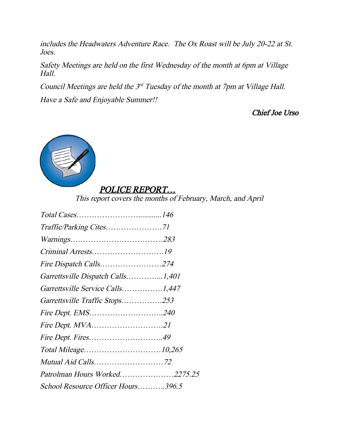includes the Headwaters Adventure Race. The Ox Roast will be July 20-22 at St. Joes.

Safety Meetings are held on the first Wednesday of the month at 6pm at Village Hall.

Council Meetings are held the  $3^{rd}$  Tuesday of the month at 7pm at Village Hall.

Have a Safe and Enjoyable Summer!!

Chief Joe Urso



#### POLICE REPORT…

This report covers the months of February, March, and April

| Fire Dispatch Calls274             |
|------------------------------------|
| Garrettsville Dispatch Calls1,401  |
| Garrettsville Service Calls1,447   |
| Garrettsville Traffic Stops253     |
| <i>Fire Dept. EMS240</i>           |
| Fire Dept. MVA21                   |
|                                    |
|                                    |
|                                    |
| Patrolman Hours Worked2275.25      |
| School Resource Officer Hours396.5 |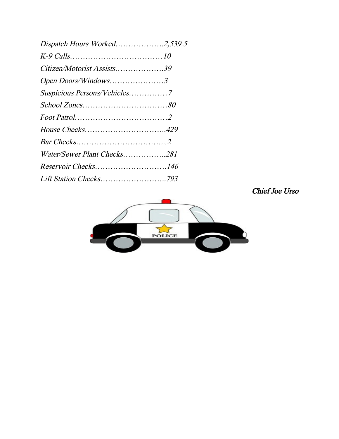| Dispatch Hours Worked2,539.5 |  |
|------------------------------|--|
|                              |  |
| Citizen/Motorist Assists39   |  |
| Open Doors/Windows3          |  |
|                              |  |
|                              |  |
|                              |  |
|                              |  |
|                              |  |
| Water/Sewer Plant Checks281  |  |
| Reservoir Checks146          |  |
|                              |  |

Chief Joe Urso

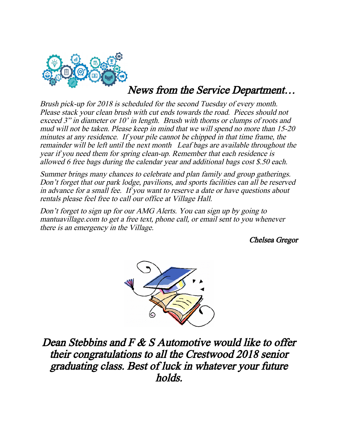

# News from the Service Department…

Brush pick-up for 2018 is scheduled for the second Tuesday of every month. Please stack your clean brush with cut ends towards the road. Pieces should not exceed 3" in diameter or 10' in length. Brush with thorns or clumps of roots and mud will not be taken. Please keep in mind that we will spend no more than 15-20 minutes at any residence. If your pile cannot be chipped in that time frame, the remainder will be left until the next month Leaf bags are available throughout the year if you need them for spring clean-up. Remember that each residence is allowed 6 free bags during the calendar year and additional bags cost \$.50 each.

Summer brings many chances to celebrate and plan family and group gatherings. Don't forget that our park lodge, pavilions, and sports facilities can all be reserved in advance for a small fee. If you want to reserve a date or have questions about rentals please feel free to call our office at Village Hall.

Don't forget to sign up for our AMG Alerts. You can sign up by going to mantuavillage.com to get a free text, phone call, or email sent to you whenever there is an emergency in the Village.

Chelsea Gregor



Dean Stebbins and F & S Automotive would like to offer their congratulations to all the Crestwood 2018 senior graduating class. Best of luck in whatever your future holds.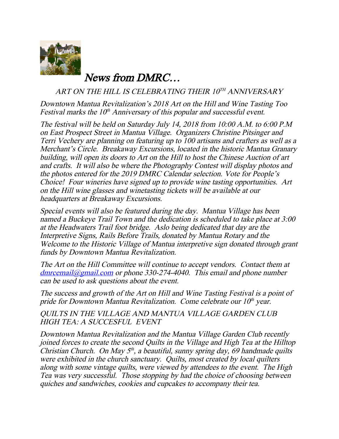

News from DMRC…

ART ON THE HILL IS CELEBRATING THEIR 10TH ANNIVERSARY

Downtown Mantua Revitalization's 2018 Art on the Hill and Wine Tasting Too Festival marks the  $10<sup>th</sup>$  Anniversary of this popular and successful event.

The festival will be held on Saturday July 14, 2018 from 10:00 A.M. to 6:00 P.M on East Prospect Street in Mantua Village. Organizers Christine Pitsinger and Terri Vechery are planning on featuring up to 100 artisans and crafters as well as a Merchant's Circle. Breakaway Excursions, located in the historic Mantua Granary building, will open its doors to Art on the Hill to host the Chinese Auction of art and crafts. It will also be where the Photography Contest will display photos and the photos entered for the 2019 DMRC Calendar selection. Vote for People's Choice! Four wineries have signed up to provide wine tasting opportunities. Art on the Hill wine glasses and winetasting tickets will be available at our headquarters at Breakaway Excursions.

Special events will also be featured during the day. Mantua Village has been named a Buckeye Trail Town and the dedication is scheduled to take place at 3:00 at the Headwaters Trail foot bridge. Aslo being dedicated that day are the Interpretive Signs, Rails Before Trails, donated by Mantua Rotary and the Welcome to the Historic Village of Mantua interpretive sign donated through grant funds by Downtown Mantua Revitalization.

The Art on the Hill Committee will continue to accept vendors. Contact them at  $dmrcmail@gmail.com$  or phone 330-274-4040. This email and phone number can be used to ask questions about the event.

The success and growth of the Art on Hill and Wine Tasting Festival is a point of pride for Downtown Mantua Revitalization. Come celebrate our  $10<sup>th</sup>$  year.

QUILTS IN THE VILLAGE AND MANTUA VILLAGE GARDEN CLUB HIGH TEA: A SUCCESFUL EVENT

Downtown Mantua Revitalization and the Mantua Village Garden Club recently joined forces to create the second Quilts in the Village and High Tea at the Hilltop Christian Church. On May  $5<sup>th</sup>$ , a beautiful, sunny spring day, 69 handmade quilts were exhibited in the church sanctuary. Quilts, most created by local quilters along with some vintage quilts, were viewed by attendees to the event. The High Tea was very successful. Those stopping by had the choice of choosing between quiches and sandwiches, cookies and cupcakes to accompany their tea.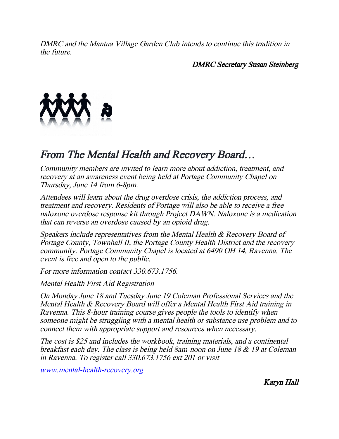DMRC and the Mantua Village Garden Club intends to continue this tradition in the future.

DMRC Secretary Susan Steinberg



## From The Mental Health and Recovery Board…

Community members are invited to learn more about addiction, treatment, and recovery at an awareness event being held at Portage Community Chapel on Thursday, June 14 from 6-8pm.

Attendees will learn about the drug overdose crisis, the addiction process, and treatment and recovery. Residents of Portage will also be able to receive a free naloxone overdose response kit through Project DAWN. Naloxone is a medication that can reverse an overdose caused by an opioid drug.

Speakers include representatives from the Mental Health & Recovery Board of Portage County, Townhall II, the Portage County Health District and the recovery community. Portage Community Chapel is located at 6490 OH 14, Ravenna. The event is free and open to the public.

For more information contact 330.673.1756.

Mental Health First Aid Registration

On Monday June 18 and Tuesday June 19 Coleman Professional Services and the Mental Health & Recovery Board will offer a Mental Health First Aid training in Ravenna. This 8-hour training course gives people the tools to identify when someone might be struggling with a mental health or substance use problem and to connect them with appropriate support and resources when necessary.

The cost is \$25 and includes the workbook, training materials, and a continental breakfast each day. The class is being held 8am-noon on June 18 & 19 at Coleman in Ravenna. To register call 330.673.1756 ext 201 or visit

www.mental-health-recovery.org

Karyn Hall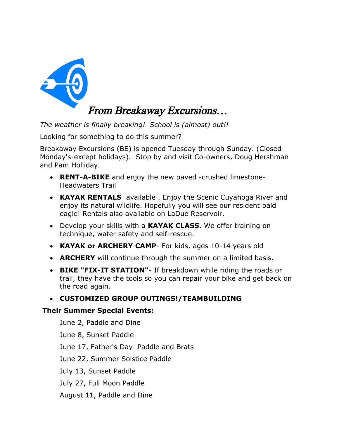

*The weather is finally breaking! School is (almost) out!!* 

Looking for something to do this summer?

Breakaway Excursions (BE) is opened Tuesday through Sunday. (Closed Monday's-except holidays). Stop by and visit Co-owners, Doug Hershman and Pam Holliday.

- **RENT-A-BIKE** and enjoy the new paved -crushed limestone-Headwaters Trail
- **KAYAK RENTALS** available . Enjoy the Scenic Cuyahoga River and enjoy its natural wildlife. Hopefully you will see our resident bald eagle! Rentals also available on LaDue Reservoir.
- Develop your skills with a **KAYAK CLASS**. We offer training on technique, water safety and self-rescue.
- **KAYAK or ARCHERY CAMP** For kids, ages 10-14 years old
- **ARCHERY** will continue through the summer on a limited basis.
- **BIKE "FIX-IT STATION"** If breakdown while riding the roads or trail, they have the tools so you can repair your bike and get back on the road again.
- **CUSTOMIZED GROUP OUTINGS!/TEAMBUILDING**

#### **Their Summer Special Events:**

June 2, Paddle and Dine June 8, Sunset Paddle June 17, Father's Day Paddle and Brats June 22, Summer Solstice Paddle July 13, Sunset Paddle July 27, Full Moon Paddle August 11, Paddle and Dine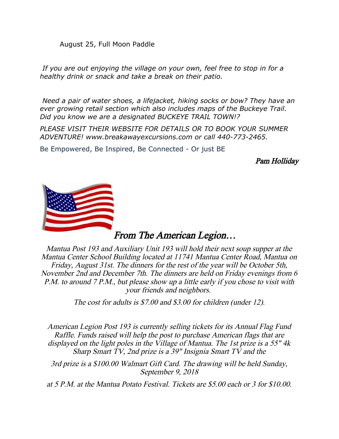August 25, Full Moon Paddle

*If you are out enjoying the village on your own, feel free to stop in for a healthy drink or snack and take a break on their patio.*

*Need a pair of water shoes, a lifejacket, hiking socks or bow? They have an ever growing retail section which also includes maps of the Buckeye Trail. Did you know we are a designated BUCKEYE TRAIL TOWN!?*

*PLEASE VISIT THEIR WEBSITE FOR DETAILS OR TO BOOK YOUR SUMMER ADVENTURE! www.breakawayexcursions.com or call 440-773-2465.* 

Be Empowered, Be Inspired, Be Connected - Or just BE

Pam Holliday



#### From The American Legion…

Mantua Post 193 and Auxiliary Unit 193 will hold their next soup supper at the Mantua Center School Building located at 11741 Mantua Center Road, Mantua on Friday, August 31st. The dinners for the rest of the year will be October 5th, November 2nd and December 7th. The dinners are held on Friday evenings from 6 P.M. to around 7 P.M., but please show up a little early if you chose to visit with your friends and neighbors.

The cost for adults is \$7.00 and \$3.00 for children (under 12).

American Legion Post 193 is currently selling tickets for its Annual Flag Fund Raffle. Funds raised will help the post to purchase American flags that are displayed on the light poles in the Village of Mantua. The 1st prize is a 55" 4k Sharp Smart TV, 2nd prize is a 39" Insignia Smart TV and the

3rd prize is a \$100.00 Walmart Gift Card. The drawing will be held Sunday, September 9, 2018

at 5 P.M. at the Mantua Potato Festival. Tickets are \$5.00 each or 3 for \$10.00.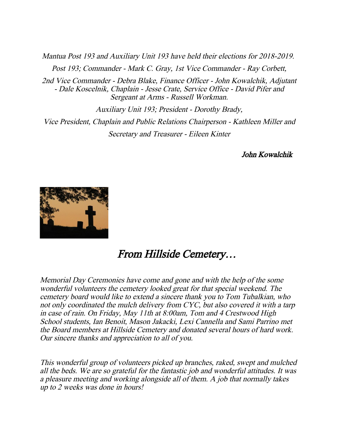Mantua Post 193 and Auxiliary Unit 193 have held their elections for 2018-2019. Post 193; Commander - Mark C. Gray, 1st Vice Commander - Ray Corbett, 2nd Vice Commander - Debra Blake, Finance Officer - John Kowalchik, Adjutant - Dale Koscelnik, Chaplain - Jesse Crate, Service Office - David Pifer and Sergeant at Arms - Russell Workman.

Auxiliary Unit 193; President - Dorothy Brady, Vice President, Chaplain and Public Relations Chairperson - Kathleen Miller and Secretary and Treasurer - Eileen Kinter

John Kowalchik



### From Hillside Cemetery…

Memorial Day Ceremonies have come and gone and with the help of the some wonderful volunteers the cemetery looked great for that special weekend. The cemetery board would like to extend a sincere thank you to Tom Tubalkian, who not only coordinated the mulch delivery from CYC, but also covered it with a tarp in case of rain. On Friday, May 11th at 8:00am, Tom and 4 Crestwood High School students, Ian Benoit, Mason Jakacki, Lexi Cannella and Sami Parrino met the Board members at Hillside Cemetery and donated several hours of hard work. Our sincere thanks and appreciation to all of you.

This wonderful group of volunteers picked up branches, raked, swept and mulched all the beds. We are so grateful for the fantastic job and wonderful attitudes. It was a pleasure meeting and working alongside all of them. A job that normally takes up to 2 weeks was done in hours!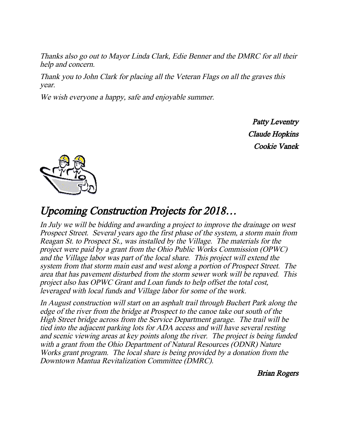Thanks also go out to Mayor Linda Clark, Edie Benner and the DMRC for all their help and concern.

Thank you to John Clark for placing all the Veteran Flags on all the graves this year.

We wish everyone a happy, safe and enjoyable summer.

Patty Leventry Claude Hopkins Cookie Vanek



### Upcoming Construction Projects for 2018…

In July we will be bidding and awarding a project to improve the drainage on west Prospect Street. Several years ago the first phase of the system, a storm main from Reagan St. to Prospect St., was installed by the Village. The materials for the project were paid by a grant from the Ohio Public Works Commission (OPWC) and the Village labor was part of the local share. This project will extend the system from that storm main east and west along a portion of Prospect Street. The area that has pavement disturbed from the storm sewer work will be repaved. This project also has OPWC Grant and Loan funds to help offset the total cost, leveraged with local funds and Village labor for some of the work.

In August construction will start on an asphalt trail through Buchert Park along the edge of the river from the bridge at Prospect to the canoe take out south of the High Street bridge across from the Service Department garage. The trail will be tied into the adjacent parking lots for ADA access and will have several resting and scenic viewing areas at key points along the river. The project is being funded with a grant from the Ohio Department of Natural Resources (ODNR) Nature Works grant program. The local share is being provided by a donation from the Downtown Mantua Revitalization Committee (DMRC).

Brian Rogers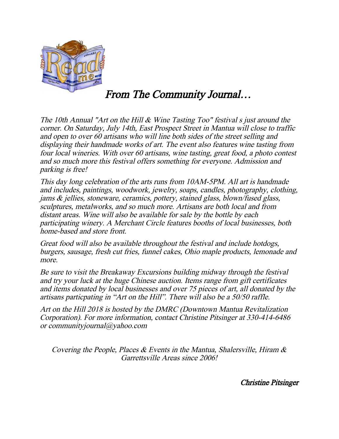

From The Community Journal…

The 10th Annual "Art on the Hill & Wine Tasting Too" festival s just around the corner. On Saturday, July 14th, East Prospect Street in Mantua will close to traffic and open to over 60 artisans who will line both sides of the street selling and displaying their handmade works of art. The event also features wine tasting from four local wineries. With over 60 artisans, wine tasting, great food, a photo contest and so much more this festival offers something for everyone. Admission and parking is free!

This day long celebration of the arts runs from 10AM-5PM. All art is handmade and includes, paintings, woodwork, jewelry, soaps, candles, photography, clothing, jams & jellies, stoneware, ceramics, pottery, stained glass, blown/fused glass, sculptures, metalworks, and so much more. Artisans are both local and from distant areas. Wine will also be available for sale by the bottle by each participating winery. A Merchant Circle features booths of local businesses, both home-based and store front.

Great food will also be available throughout the festival and include hotdogs, burgers, sausage, fresh cut fries, funnel cakes, Ohio maple products, lemonade and more.

Be sure to visit the Breakaway Excursions building midway through the festival and try your luck at the huge Chinese auction. Items range from gift certificates and items donated by local businesses and over 75 pieces of art, all donated by the artisans particpating in "Art on the Hill". There will also be a 50/50 raffle.

Art on the Hill 2018 is hosted by the DMRC (Downtown Mantua Revitalization Corporation). For more information, contact Christine Pitsinger at 330-414-6486 or communityjournal@yahoo.com

Covering the People, Places  $\&$  Events in the Mantua, Shalersville, Hiram  $\&$ Garrettsville Areas since 2006!

Christine Pitsinger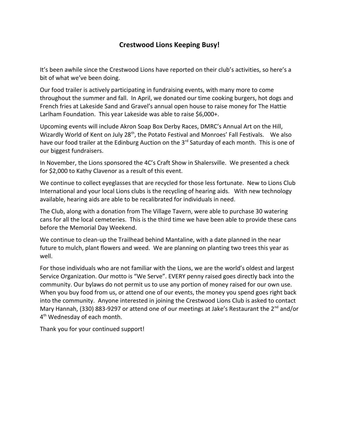#### **Crestwood Lions Keeping Busy!**

It's been awhile since the Crestwood Lions have reported on their club's activities, so here's a bit of what we've been doing.

Our food trailer is actively participating in fundraising events, with many more to come throughout the summer and fall. In April, we donated our time cooking burgers, hot dogs and French fries at Lakeside Sand and Gravel's annual open house to raise money for The Hattie Larlham Foundation. This year Lakeside was able to raise \$6,000+.

Upcoming events will include Akron Soap Box Derby Races, DMRC's Annual Art on the Hill, Wizardly World of Kent on July 28<sup>th</sup>, the Potato Festival and Monroes' Fall Festivals. We also have our food trailer at the Edinburg Auction on the  $3<sup>rd</sup>$  Saturday of each month. This is one of our biggest fundraisers.

In November, the Lions sponsored the 4C's Craft Show in Shalersville. We presented a check for \$2,000 to Kathy Clavenor as a result of this event.

We continue to collect eyeglasses that are recycled for those less fortunate. New to Lions Club International and your local Lions clubs is the recycling of hearing aids. With new technology available, hearing aids are able to be recalibrated for individuals in need.

The Club, along with a donation from The Village Tavern, were able to purchase 30 watering cans for all the local cemeteries. This is the third time we have been able to provide these cans before the Memorial Day Weekend.

We continue to clean-up the Trailhead behind Mantaline, with a date planned in the near future to mulch, plant flowers and weed. We are planning on planting two trees this year as well.

For those individuals who are not familiar with the Lions, we are the world's oldest and largest Service Organization. Our motto is "We Serve". EVERY penny raised goes directly back into the community. Our bylaws do not permit us to use any portion of money raised for our own use. When you buy food from us, or attend one of our events, the money you spend goes right back into the community. Anyone interested in joining the Crestwood Lions Club is asked to contact Mary Hannah, (330) 883-9297 or attend one of our meetings at Jake's Restaurant the 2<sup>nd</sup> and/or 4<sup>th</sup> Wednesday of each month.

Thank you for your continued support!